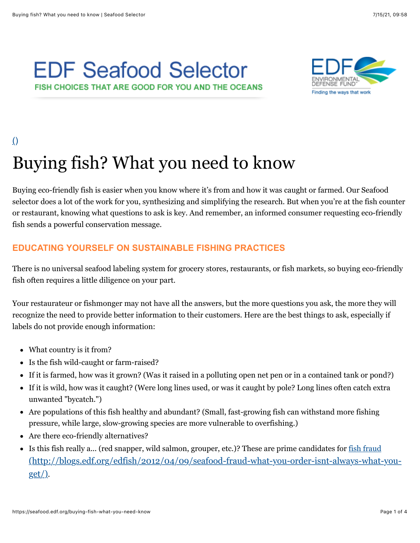# **EDF Seafood Selector** FISH CHOICES THAT ARE GOOD FOR YOU AND THE OCEANS



# $\Omega$

# Buying fish? What you need to know

Buying eco-friendly fish is easier when you know where it's from and how it was caught or farmed. Our Seafood selector does a lot of the work for you, synthesizing and simplifying the research. But when you're at the fish counter or restaurant, knowing what questions to ask is key. And remember, an informed consumer requesting eco-friendly fish sends a powerful conservation message.

# **EDUCATING YOURSELF ON SUSTAINABLE FISHING PRACTICES**

There is no universal seafood labeling system for grocery stores, restaurants, or fish markets, so buying eco-friendly fish often requires a little diligence on your part.

Your restaurateur or fishmonger may not have all the answers, but the more questions you ask, the more they will recognize the need to provide better information to their customers. Here are the best things to ask, especially if labels do not provide enough information:

- What country is it from?
- Is the fish wild-caught or farm-raised?
- If it is farmed, how was it grown? (Was it raised in a polluting open net pen or in a contained tank or pond?)
- If it is wild, how was it caught? (Were long lines used, or was it caught by pole? Long lines often catch extra unwanted "bycatch.")
- Are populations of this fish healthy and abundant? (Small, fast-growing fish can withstand more fishing pressure, while large, slow-growing species are more vulnerable to overfishing.)
- Are there eco-friendly alternatives?
- Is this fish really a... (red snapper, wild salmon, grouper, etc.)? These are prime candidates for fish fraud [\(http://blogs.edf.org/edfish/2012/04/09/seafood-fraud-what-you-order-isnt-always-what-you](http://blogs.edf.org/edfish/2012/04/09/seafood-fraud-what-you-order-isnt-always-what-you-get/)get/).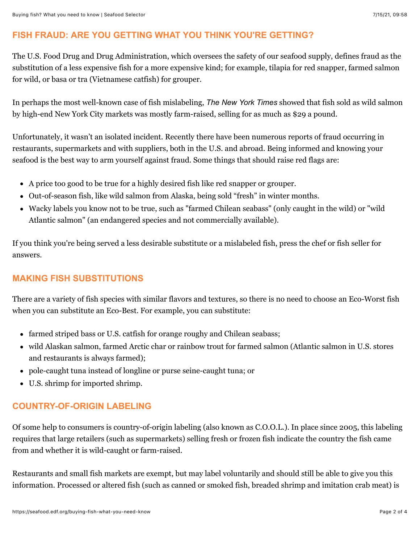#### **FISH FRAUD: ARE YOU GETTING WHAT YOU THINK YOU'RE GETTING?**

The U.S. Food Drug and Drug Administration, which oversees the safety of our seafood supply, defines fraud as the substitution of a less expensive fish for a more expensive kind; for example, tilapia for red snapper, farmed salmon for wild, or basa or tra (Vietnamese catfish) for grouper.

In perhaps the most well-known case of fish mislabeling, *The New York Times* showed that fish sold as wild salmon by high-end New York City markets was mostly farm-raised, selling for as much as \$29 a pound.

Unfortunately, it wasn't an isolated incident. Recently there have been numerous reports of fraud occurring in restaurants, supermarkets and with suppliers, both in the U.S. and abroad. Being informed and knowing your seafood is the best way to arm yourself against fraud. Some things that should raise red flags are:

- A price too good to be true for a highly desired fish like red snapper or grouper.
- Out-of-season fish, like wild salmon from Alaska, being sold "fresh" in winter months.
- Wacky labels you know not to be true, such as "farmed Chilean seabass" (only caught in the wild) or "wild Atlantic salmon" (an endangered species and not commercially available).

If you think you're being served a less desirable substitute or a mislabeled fish, press the chef or fish seller for answers.

# **MAKING FISH SUBSTITUTIONS**

There are a variety of fish species with similar flavors and textures, so there is no need to choose an Eco-Worst fish when you can substitute an Eco-Best. For example, you can substitute:

- farmed striped bass or U.S. catfish for orange roughy and Chilean seabass;
- wild Alaskan salmon, farmed Arctic char or rainbow trout for farmed salmon (Atlantic salmon in U.S. stores and restaurants is always farmed);
- pole-caught tuna instead of longline or purse seine-caught tuna; or
- U.S. shrimp for imported shrimp.

# **COUNTRY-OF-ORIGIN LABELING**

Of some help to consumers is country-of-origin labeling (also known as C.O.O.L.). In place since 2005, this labeling requires that large retailers (such as supermarkets) selling fresh or frozen fish indicate the country the fish came from and whether it is wild-caught or farm-raised.

Restaurants and small fish markets are exempt, but may label voluntarily and should still be able to give you this information. Processed or altered fish (such as canned or smoked fish, breaded shrimp and imitation crab meat) is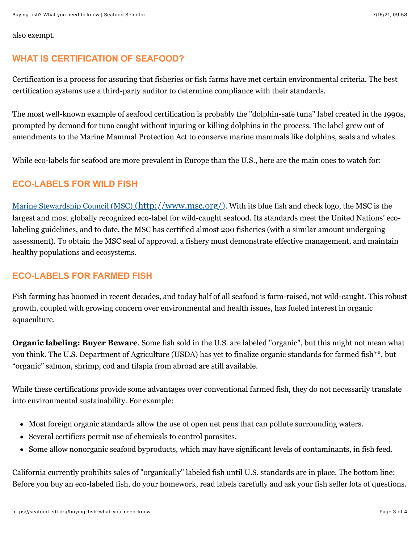also exempt.

#### **WHAT IS CERTIFICATION OF SEAFOOD?**

Certification is a process for assuring that fisheries or fish farms have met certain environmental criteria. The best certification systems use a third-party auditor to determine compliance with their standards.

The most well-known example of seafood certification is probably the "dolphin-safe tuna" label created in the 1990s, prompted by demand for tuna caught without injuring or killing dolphins in the process. The label grew out of amendments to the Marine Mammal Protection Act to conserve marine mammals like dolphins, seals and whales.

While eco-labels for seafood are more prevalent in Europe than the U.S., here are the main ones to watch for:

#### **ECO-LABELS FOR WILD FISH**

[Marine Stewardship Council \(MSC\) \(http://www.msc.org/\)](http://www.msc.org/). With its blue fish and check logo, the MSC is the largest and most globally recognized eco-label for wild-caught seafood. Its standards meet the United Nations' ecolabeling guidelines, and to date, the MSC has certified almost 200 fisheries (with a similar amount undergoing assessment). To obtain the MSC seal of approval, a fishery must demonstrate effective management, and maintain healthy populations and ecosystems.

#### **ECO-LABELS FOR FARMED FISH**

Fish farming has boomed in recent decades, and today half of all seafood is farm-raised, not wild-caught. This robust growth, coupled with growing concern over environmental and health issues, has fueled interest in organic aquaculture.

**Organic labeling: Buyer Beware**. Some fish sold in the U.S. are labeled "organic", but this might not mean what you think. The U.S. Department of Agriculture (USDA) has yet to finalize organic standards for farmed fish\*\*, but "organic" salmon, shrimp, cod and tilapia from abroad are still available.

While these certifications provide some advantages over conventional farmed fish, they do not necessarily translate into environmental sustainability. For example:

- Most foreign organic standards allow the use of open net pens that can pollute surrounding waters.
- Several certifiers permit use of chemicals to control parasites.
- Some allow nonorganic seafood byproducts, which may have significant levels of contaminants, in fish feed.  $\bullet$

California currently prohibits sales of "organically" labeled fish until U.S. standards are in place. The bottom line: Before you buy an eco-labeled fish, do your homework, read labels carefully and ask your fish seller lots of questions.